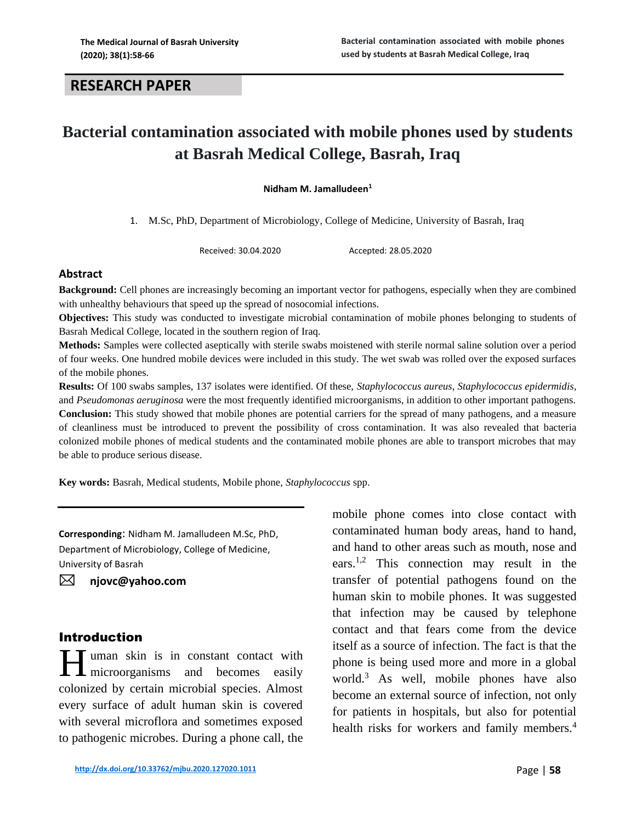# **RESEARCH PAPER**

# **Bacterial contamination associated with mobile phones used by students at Basrah Medical College, Basrah, Iraq**

**Nidham M. Jamalludeen<sup>1</sup>**

1. M.Sc, PhD, Department of Microbiology, College of Medicine, University of Basrah, Iraq

Received: 30.04.2020 Accepted: 28.05.2020

#### **Abstract**

**Background:** Cell phones are increasingly becoming an important vector for pathogens, especially when they are combined with unhealthy behaviours that speed up the spread of nosocomial infections.

**Objectives:** This study was conducted to investigate microbial contamination of mobile phones belonging to students of Basrah Medical College, located in the southern region of Iraq.

**Methods:** Samples were collected aseptically with sterile swabs moistened with sterile normal saline solution over a period of four weeks. One hundred mobile devices were included in this study. The wet swab was rolled over the exposed surfaces of the mobile phones.

**Results:** Of 100 swabs samples, 137 isolates were identified. Of these, *Staphylococcus aureus*, *Staphylococcus epidermidis*, and *Pseudomonas aeruginosa* were the most frequently identified microorganisms, in addition to other important pathogens. **Conclusion:** This study showed that mobile phones are potential carriers for the spread of many pathogens, and a measure of cleanliness must be introduced to prevent the possibility of cross contamination. It was also revealed that bacteria colonized mobile phones of medical students and the contaminated mobile phones are able to transport microbes that may be able to produce serious disease.

**Key words:** Basrah, Medical students, Mobile phone, *Staphylococcus* spp.

**Corresponding**: Nidham M. Jamalludeen M.Sc, PhD, Department of Microbiology, College of Medicine, University of Basrah

**[njovc@yahoo.com](mailto:njovc@yahoo.com)**

### Introduction

**H** uman skin is in constant contact with microorganisms and becomes easily **L** microorganisms and becomes easily colonized by certain microbial species. Almost every surface of adult human skin is covered with several microflora and sometimes exposed to pathogenic microbes. During a phone call, the

mobile phone comes into close contact with contaminated human body areas, hand to hand, and hand to other areas such as mouth, nose and ears.<sup>1,2</sup> This connection may result in the transfer of potential pathogens found on the human skin to mobile phones. It was suggested that infection may be caused by telephone contact and that fears come from the device itself as a source of infection. The fact is that the phone is being used more and more in a global world. <sup>3</sup> As well, mobile phones have also become an external source of infection, not only for patients in hospitals, but also for potential health risks for workers and family members.<sup>4</sup>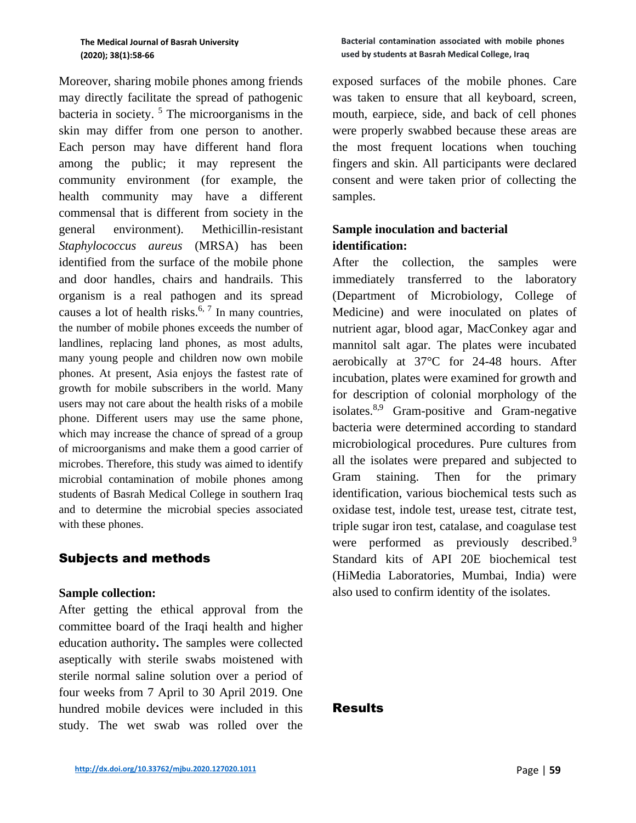#### **The Medical Journal of Basrah University (2020); 38(1):58-66**

Moreover, sharing mobile phones among friends may directly facilitate the spread of pathogenic bacteria in society. <sup>5</sup> The microorganisms in the skin may differ from one person to another. Each person may have different hand flora among the public; it may represent the community environment (for example, the health community may have a different commensal that is different from society in the general environment). Methicillin-resistant *Staphylococcus aureus* (MRSA) has been identified from the surface of the mobile phone and door handles, chairs and handrails. This organism is a real pathogen and its spread causes a lot of health risks.<sup>6, 7</sup> In many countries, the number of mobile phones exceeds the number of landlines, replacing land phones, as most adults, many young people and children now own mobile phones. At present, Asia enjoys the fastest rate of growth for mobile subscribers in the world. Many users may not care about the health risks of a mobile phone. Different users may use the same phone, which may increase the chance of spread of a group of microorganisms and make them a good carrier of microbes. Therefore, this study was aimed to identify microbial contamination of mobile phones among students of Basrah Medical College in southern Iraq and to determine the microbial species associated with these phones.

### Subjects and methods

### **Sample collection:**

After getting the ethical approval from the committee board of the Iraqi health and higher education authority**.** The samples were collected aseptically with sterile swabs moistened with sterile normal saline solution over a period of four weeks from 7 April to 30 April 2019. One hundred mobile devices were included in this study. The wet swab was rolled over the

exposed surfaces of the mobile phones. Care was taken to ensure that all keyboard, screen, mouth, earpiece, side, and back of cell phones were properly swabbed because these areas are the most frequent locations when touching fingers and skin. All participants were declared consent and were taken prior of collecting the samples.

# **Sample inoculation and bacterial identification:**

After the collection, the samples were immediately transferred to the laboratory (Department of Microbiology, College of Medicine) and were inoculated on plates of nutrient agar, blood agar, MacConkey agar and mannitol salt agar. The plates were incubated aerobically at 37°C for 24-48 hours. After incubation, plates were examined for growth and for description of colonial morphology of the isolates.<sup>8,9</sup> Gram-positive and Gram-negative bacteria were determined according to standard microbiological procedures. Pure cultures from all the isolates were prepared and subjected to Gram staining. Then for the primary identification, various biochemical tests such as oxidase test, indole test, urease test, citrate test, triple sugar iron test, catalase, and coagulase test were performed as previously described.<sup>9</sup> Standard kits of API 20E biochemical test (HiMedia Laboratories, Mumbai, India) were also used to confirm identity of the isolates.

### Results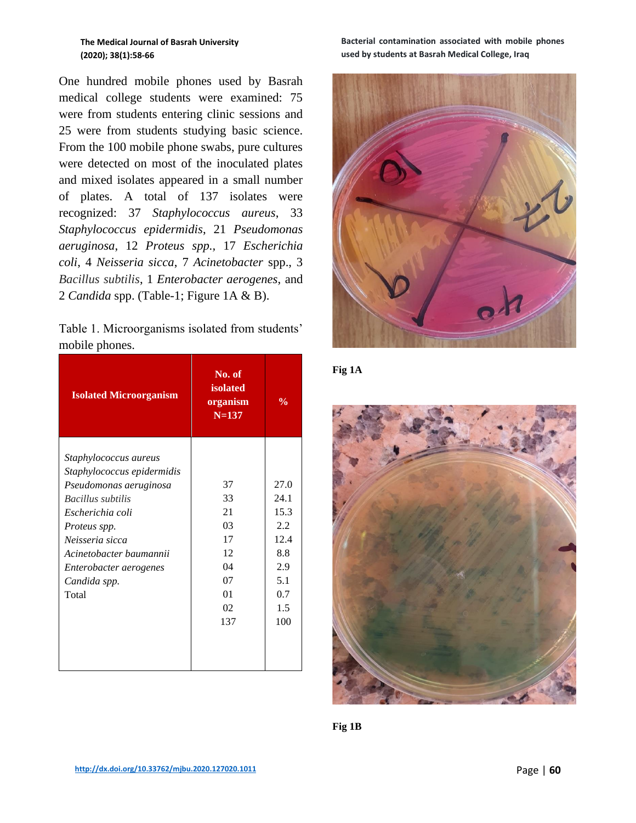**The Medical Journal of Basrah University (2020); 38(1):58-66**

One hundred mobile phones used by Basrah medical college students were examined: 75 were from students entering clinic sessions and 25 were from students studying basic science. From the 100 mobile phone swabs, pure cultures were detected on most of the inoculated plates and mixed isolates appeared in a small number of plates. A total of 137 isolates were recognized: 37 *Staphylococcus aureus*, 33 *Staphylococcus epidermidis*, 21 *Pseudomonas aeruginosa*, 12 *Proteus spp.,* 17 *Escherichia coli*, 4 *Neisseria sicca*, 7 *Acinetobacter* spp., 3 *Bacillus subtilis*, 1 *Enterobacter aerogenes*, and 2 *Candida* spp. (Table-1; Figure 1A & B).

| Table 1. Microorganisms isolated from students' |  |  |  |
|-------------------------------------------------|--|--|--|
| mobile phones.                                  |  |  |  |

| <b>Isolated Microorganism</b> | No. of<br><b>isolated</b><br>organism<br>$N = 137$ | $\frac{0}{0}$ |
|-------------------------------|----------------------------------------------------|---------------|
| Staphylococcus aureus         | 37                                                 | 27.0          |
| Staphylococcus epidermidis    | 33                                                 | 24.1          |
| Pseudomonas aeruginosa        | 21                                                 | 15.3          |
| Bacillus subtilis             | 0 <sup>3</sup>                                     | 2.2           |
| Escherichia coli              | 17                                                 | 12.4          |
| Proteus spp.                  | 12                                                 | 8.8           |
| Neisseria sicca               | 04                                                 | 2.9           |
| Acinetobacter baumannii       | 07                                                 | 5.1           |
| Enterobacter aerogenes        | 01                                                 | 0.7           |
| Candida spp.                  | 02                                                 | 1.5           |
| Total                         | 137                                                | 100           |

**Bacterial contamination associated with mobile phones used by students at Basrah Medical College, Iraq**





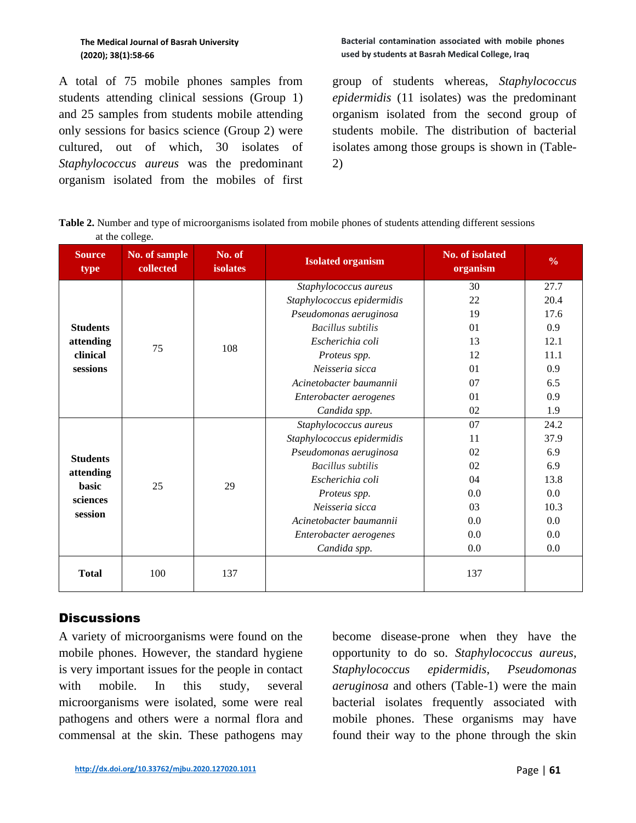A total of 75 mobile phones samples from students attending clinical sessions (Group 1) and 25 samples from students mobile attending only sessions for basics science (Group 2) were cultured, out of which, 30 isolates of *Staphylococcus aureus* was the predominant organism isolated from the mobiles of first

#### **Bacterial contamination associated with mobile phones used by students at Basrah Medical College, Iraq**

group of students whereas, *Staphylococcus epidermidis* (11 isolates) was the predominant organism isolated from the second group of students mobile. The distribution of bacterial isolates among those groups is shown in (Table-2)

**Table 2.** Number and type of microorganisms isolated from mobile phones of students attending different sessions at the college.

| <b>Source</b><br>type                                        | No. of sample<br>collected | No. of<br><b>isolates</b> | <b>Isolated organism</b>   | No. of isolated<br>organism | $\frac{0}{0}$ |
|--------------------------------------------------------------|----------------------------|---------------------------|----------------------------|-----------------------------|---------------|
| <b>Students</b><br>attending<br>clinical<br>sessions         | 75                         | 108                       | Staphylococcus aureus      | 30                          | 27.7          |
|                                                              |                            |                           | Staphylococcus epidermidis | 22                          | 20.4          |
|                                                              |                            |                           | Pseudomonas aeruginosa     | 19                          | 17.6          |
|                                                              |                            |                           | Bacillus subtilis          | 01                          | 0.9           |
|                                                              |                            |                           | Escherichia coli           | 13                          | 12.1          |
|                                                              |                            |                           | Proteus spp.               | 12                          | 11.1          |
|                                                              |                            |                           | Neisseria sicca<br>01      |                             | 0.9           |
|                                                              |                            |                           | Acinetobacter baumannii    | 07                          | 6.5           |
|                                                              |                            |                           | Enterobacter aerogenes     | 01                          | 0.9           |
|                                                              |                            |                           | Candida spp.               | 02                          | 1.9           |
| <b>Students</b><br>attending<br>basic<br>sciences<br>session | 25                         | 29                        | Staphylococcus aureus      | 07                          | 24.2          |
|                                                              |                            |                           | Staphylococcus epidermidis | 11                          | 37.9          |
|                                                              |                            |                           | Pseudomonas aeruginosa     | 02                          | 6.9           |
|                                                              |                            |                           | <b>Bacillus</b> subtilis   | 02                          | 6.9           |
|                                                              |                            |                           | Escherichia coli           | 04                          | 13.8          |
|                                                              |                            |                           | Proteus spp.               | 0.0                         | 0.0           |
|                                                              |                            |                           | Neisseria sicca            | 03                          | 10.3          |
|                                                              |                            |                           | Acinetobacter baumannii    | 0.0                         | 0.0           |
|                                                              |                            |                           | Enterobacter aerogenes     | 0.0                         | 0.0           |
|                                                              |                            |                           | Candida spp.               | 0.0                         | 0.0           |
| <b>Total</b>                                                 | 100                        | 137                       |                            | 137                         |               |

# **Discussions**

A variety of microorganisms were found on the mobile phones. However, the standard hygiene is very important issues for the people in contact with mobile. In this study, several microorganisms were isolated, some were real pathogens and others were a normal flora and commensal at the skin. These pathogens may

become disease-prone when they have the opportunity to do so. *Staphylococcus aureus*, *Staphylococcus epidermidis*, *Pseudomonas aeruginosa* and others (Table-1) were the main bacterial isolates frequently associated with mobile phones. These organisms may have found their way to the phone through the skin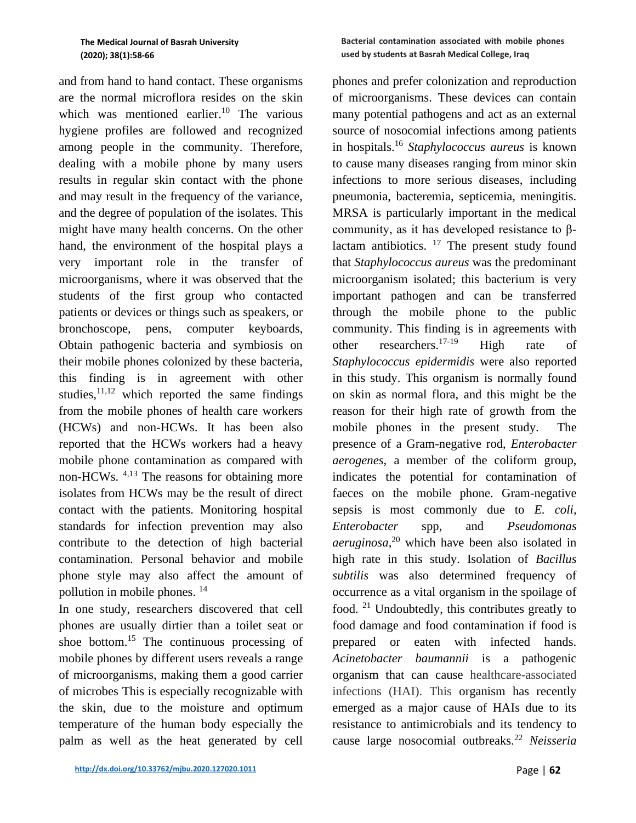#### **The Medical Journal of Basrah University (2020); 38(1):58-66**

and from hand to hand contact. These organisms are the normal microflora resides on the skin which was mentioned earlier. <sup>10</sup> The various hygiene profiles are followed and recognized among people in the community. Therefore, dealing with a mobile phone by many users results in regular skin contact with the phone and may result in the frequency of the variance, and the degree of population of the isolates. This might have many health concerns. On the other hand, the environment of the hospital plays a very important role in the transfer of microorganisms, where it was observed that the students of the first group who contacted patients or devices or things such as speakers, or bronchoscope, pens, computer keyboards, Obtain pathogenic bacteria and symbiosis on their mobile phones colonized by these bacteria, this finding is in agreement with other studies, $11,12$  which reported the same findings from the mobile phones of health care workers (HCWs) and non-HCWs. It has been also reported that the HCWs workers had a heavy mobile phone contamination as compared with non-HCWs. <sup>4,13</sup> The reasons for obtaining more isolates from HCWs may be the result of direct contact with the patients. Monitoring hospital standards for infection prevention may also contribute to the detection of high bacterial contamination. Personal behavior and mobile phone style may also affect the amount of pollution in mobile phones. 14

In one study, researchers discovered that cell phones are usually dirtier than a toilet seat or shoe bottom. <sup>15</sup> The continuous processing of mobile phones by different users reveals a range of microorganisms, making them a good carrier of microbes This is especially recognizable with the skin, due to the moisture and optimum temperature of the human body especially the palm as well as the heat generated by cell

#### **Bacterial contamination associated with mobile phones used by students at Basrah Medical College, Iraq**

phones and prefer colonization and reproduction of microorganisms. These devices can contain many potential pathogens and act as an external source of nosocomial infections among patients in hospitals.<sup>16</sup> *Staphylococcus aureus* is known to cause many diseases ranging from minor skin infections to more serious diseases, including pneumonia, bacteremia, septicemia, meningitis. MRSA is particularly important in the medical community, as it has developed resistance to βlactam antibiotics.  $17$  The present study found that *Staphylococcus aureus* was the predominant microorganism isolated; this bacterium is very important pathogen and can be transferred through the mobile phone to the public community. This finding is in agreements with other researchers.<sup>17-19</sup> High rate of *Staphylococcus epidermidis* were also reported in this study. This organism is normally found on skin as normal flora, and this might be the reason for their high rate of growth from the mobile phones in the present study. The presence of a Gram-negative rod, *Enterobacter aerogenes*, a member of the coliform group, indicates the potential for contamination of faeces on the mobile phone. Gram-negative sepsis is most commonly due to *E. coli*, *Enterobacter* spp, and *Pseudomonas aeruginosa*, <sup>20</sup> which have been also isolated in high rate in this study. Isolation of *Bacillus subtilis* was also determined frequency of occurrence as a vital organism in the spoilage of food.<sup>21</sup> Undoubtedly, this contributes greatly to food damage and food contamination if food is prepared or eaten with infected hands. *Acinetobacter baumannii* is a pathogenic organism that can cause healthcare-associated infections (HAI). This organism has recently emerged as a major cause of HAIs due to its resistance to antimicrobials and its tendency to cause large nosocomial outbreaks.<sup>22</sup> *Neisseria*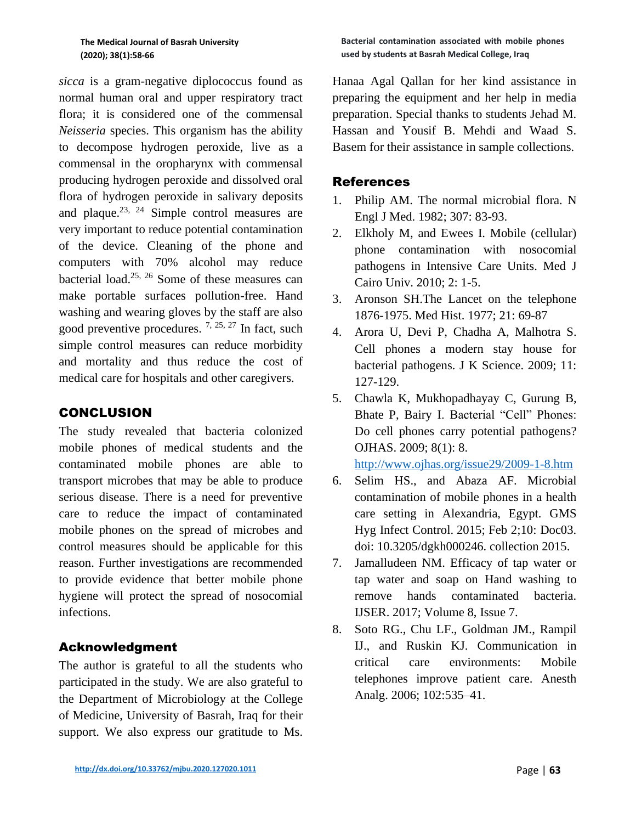*sicca* is a gram-negative diplococcus found as normal human oral and upper respiratory tract flora; it is considered one of the commensal *Neisseria* species. This organism has the ability to decompose hydrogen peroxide, live as a commensal in the oropharynx with commensal producing hydrogen peroxide and dissolved oral flora of hydrogen peroxide in salivary deposits and plaque.<sup>23, 24</sup> Simple control measures are very important to reduce potential contamination of the device. Cleaning of the phone and computers with 70% alcohol may reduce bacterial load. 25, 26 Some of these measures can make portable surfaces pollution-free. Hand washing and wearing gloves by the staff are also good preventive procedures.  $7, 25, 27$  In fact, such simple control measures can reduce morbidity and mortality and thus reduce the cost of medical care for hospitals and other caregivers.

# CONCLUSION

The study revealed that bacteria colonized mobile phones of medical students and the contaminated mobile phones are able to transport microbes that may be able to produce serious disease. There is a need for preventive care to reduce the impact of contaminated mobile phones on the spread of microbes and control measures should be applicable for this reason. Further investigations are recommended to provide evidence that better mobile phone hygiene will protect the spread of nosocomial infections.

# Acknowledgment

The author is grateful to all the students who participated in the study. We are also grateful to the Department of Microbiology at the College of Medicine, University of Basrah, Iraq for their support. We also express our gratitude to Ms.

Hanaa Agal Qallan for her kind assistance in preparing the equipment and her help in media preparation. Special thanks to students Jehad M. Hassan and Yousif B. Mehdi and Waad S. Basem for their assistance in sample collections.

### References

- 1. Philip AM. The normal microbial flora. N Engl J Med. 1982; 307: 83-93.
- 2. Elkholy M, and Ewees I. Mobile (cellular) phone contamination with nosocomial pathogens in Intensive Care Units. Med J Cairo Univ. 2010; 2: 1-5.
- 3. Aronson SH.The Lancet on the telephone 1876-1975. Med Hist. 1977; 21: 69-87
- 4. Arora U, Devi P, Chadha A, Malhotra S. Cell phones a modern stay house for bacterial pathogens. J K Science. 2009; 11: 127-129.
- 5. Chawla K, Mukhopadhayay C, Gurung B, Bhate P, Bairy I. Bacterial "Cell" Phones: Do cell phones carry potential pathogens? OJHAS. 2009; 8(1): 8.

<http://www.ojhas.org/issue29/2009-1-8.htm>

- 6. Selim HS., and [Abaza AF.](https://www.ncbi.nlm.nih.gov/pubmed/?term=Abaza%20AF%5BAuthor%5D&cauthor=true&cauthor_uid=25699226) Microbial contamination of mobile phones in a health care setting in Alexandria, Egypt. [GMS](https://www.ncbi.nlm.nih.gov/pubmed/25699226)  [Hyg Infect Control.](https://www.ncbi.nlm.nih.gov/pubmed/25699226) 2015; Feb 2;10: Doc03. doi: 10.3205/dgkh000246. collection 2015.
- 7. Jamalludeen NM. Efficacy of tap water or tap water and soap on Hand washing to remove hands contaminated bacteria. IJSER. 2017; Volume 8, Issue 7.
- 8. Soto RG., Chu LF., Goldman JM., Rampil IJ., and Ruskin KJ. Communication in critical care environments: Mobile telephones improve patient care. Anesth Analg. 2006; 102:535–41.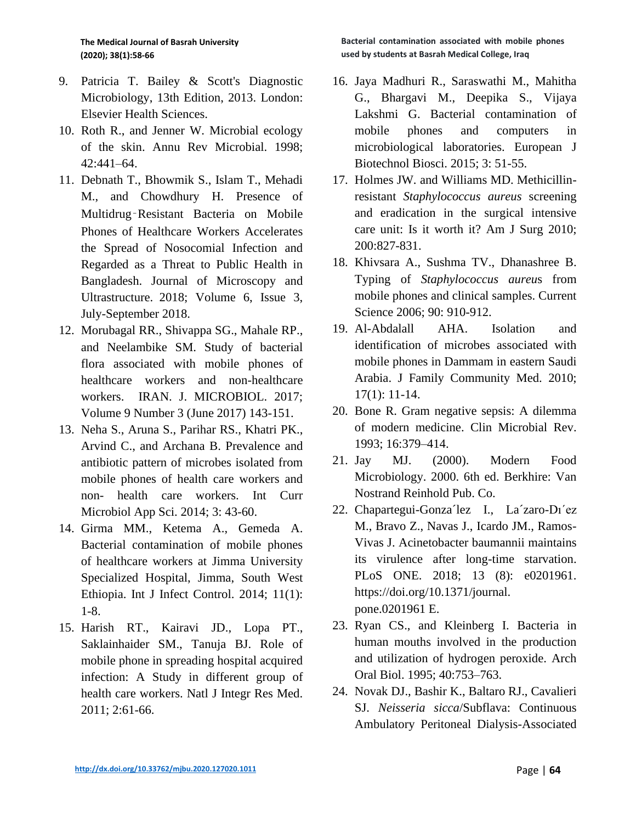- 9. Patricia T. Bailey & Scott's Diagnostic Microbiology, 13th Edition, 2013. London: Elsevier Health Sciences.
- 10. Roth R., and Jenner W. Microbial ecology of the skin. Annu Rev Microbial. 1998; 42:441–64.
- 11. Debnath T., Bhowmik S., Islam T., Mehadi M., and Chowdhury H. Presence of Multidrug‑Resistant Bacteria on Mobile Phones of Healthcare Workers Accelerates the Spread of Nosocomial Infection and Regarded as a Threat to Public Health in Bangladesh. Journal of Microscopy and Ultrastructure. 2018; Volume 6, Issue 3, July-September 2018.
- 12. Morubagal RR., Shivappa SG., Mahale RP., and Neelambike SM. Study of bacterial flora associated with mobile phones of healthcare workers and non-healthcare workers. IRAN. J. MICROBIOL. 2017; Volume 9 Number 3 (June 2017) 143-151.
- 13. Neha S., Aruna S., Parihar RS., Khatri PK., Arvind C., and Archana B. Prevalence and antibiotic pattern of microbes isolated from mobile phones of health care workers and non- health care workers. Int Curr Microbiol App Sci. 2014; 3: 43-60.
- 14. Girma MM., Ketema A., Gemeda A. Bacterial contamination of mobile phones of healthcare workers at Jimma University Specialized Hospital, Jimma, South West Ethiopia. Int J Infect Control. 2014; 11(1): 1-8.
- 15. Harish RT., Kairavi JD., Lopa PT., Saklainhaider SM., Tanuja BJ. Role of mobile phone in spreading hospital acquired infection: A Study in different group of health care workers. Natl J Integr Res Med. 2011; 2:61-66.
- 16. Jaya Madhuri R., Saraswathi M., Mahitha G., Bhargavi M., Deepika S., Vijaya Lakshmi G. Bacterial contamination of mobile phones and computers in microbiological laboratories. European J Biotechnol Biosci. 2015; 3: 51-55.
- 17. Holmes JW. and Williams MD. Methicillinresistant *Staphylococcus aureus* screening and eradication in the surgical intensive care unit: Is it worth it? Am J Surg 2010; 200:827-831.
- 18. Khivsara A., Sushma TV., Dhanashree B. Typing of *Staphylococcus aureu*s from mobile phones and clinical samples. Current Science 2006; 90: 910-912.
- 19. Al-Abdalall AHA. Isolation and identification of microbes associated with mobile phones in Dammam in eastern Saudi Arabia. J Family Community Med. 2010; 17(1): 11-14.
- 20. Bone R. Gram negative sepsis: A dilemma of modern medicine. Clin Microbial Rev. 1993; 16:379–414.
- 21. Jay MJ. (2000). Modern Food Microbiology. 2000. 6th ed. Berkhire: Van Nostrand Reinhold Pub. Co.
- 22. Chapartegui-Gonza´lez I., La´zaro-Dı´ez M., Bravo Z., Navas J., Icardo JM., Ramos-Vivas J. Acinetobacter baumannii maintains its virulence after long-time starvation. PLoS ONE. 2018; 13 (8): e0201961. https://doi.org/10.1371/journal. pone.0201961 E.
- 23. Ryan CS., and Kleinberg I. Bacteria in human mouths involved in the production and utilization of hydrogen peroxide. Arch Oral Biol. 1995; 40:753–763.
- 24. Novak DJ., Bashir K., Baltaro RJ., Cavalieri SJ. *Neisseria sicca*/Subflava: Continuous Ambulatory Peritoneal Dialysis-Associated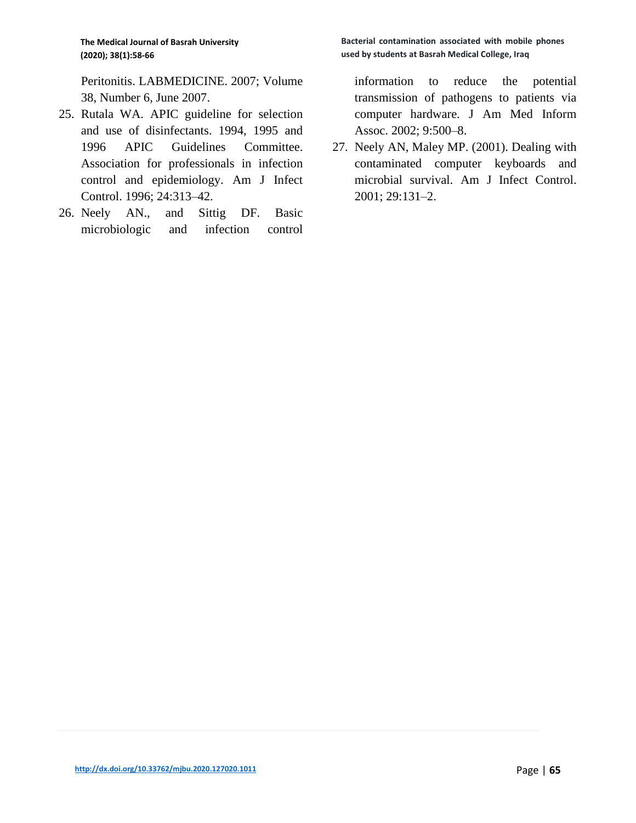Peritonitis. LABMEDICINE. 2007; Volume 38, Number 6, June 2007.

- 25. Rutala WA. APIC guideline for selection and use of disinfectants. 1994, 1995 and 1996 APIC Guidelines Committee. Association for professionals in infection control and epidemiology. Am J Infect Control. 1996; 24:313–42.
- 26. Neely AN., and Sittig DF. Basic microbiologic and infection control

**Bacterial contamination associated with mobile phones used by students at Basrah Medical College, Iraq**

information to reduce the potential transmission of pathogens to patients via computer hardware. J Am Med Inform Assoc. 2002; 9:500–8.

27. Neely AN, Maley MP. (2001). Dealing with contaminated computer keyboards and microbial survival. Am J Infect Control. 2001; 29:131–2.